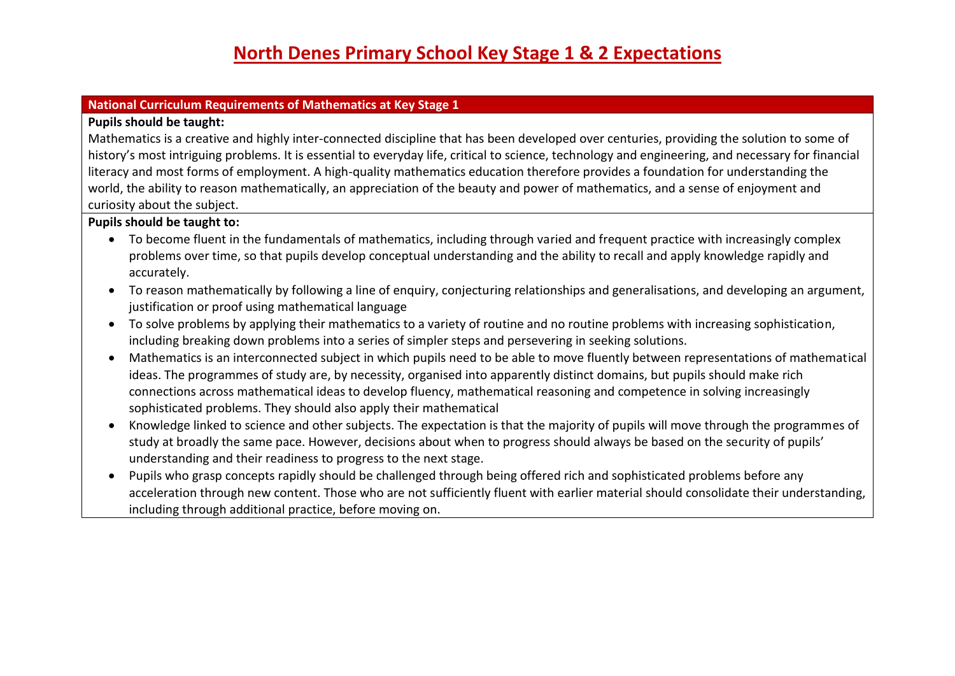#### **National Curriculum Requirements of Mathematics at Key Stage 1**

#### **Pupils should be taught:**

Mathematics is a creative and highly inter-connected discipline that has been developed over centuries, providing the solution to some of history's most intriguing problems. It is essential to everyday life, critical to science, technology and engineering, and necessary for financial literacy and most forms of employment. A high-quality mathematics education therefore provides a foundation for understanding the world, the ability to reason mathematically, an appreciation of the beauty and power of mathematics, and a sense of enjoyment and curiosity about the subject.

### **Pupils should be taught to:**

- To become fluent in the fundamentals of mathematics, including through varied and frequent practice with increasingly complex problems over time, so that pupils develop conceptual understanding and the ability to recall and apply knowledge rapidly and accurately.
- To reason mathematically by following a line of enquiry, conjecturing relationships and generalisations, and developing an argument, justification or proof using mathematical language
- To solve problems by applying their mathematics to a variety of routine and no routine problems with increasing sophistication, including breaking down problems into a series of simpler steps and persevering in seeking solutions.
- Mathematics is an interconnected subject in which pupils need to be able to move fluently between representations of mathematical ideas. The programmes of study are, by necessity, organised into apparently distinct domains, but pupils should make rich connections across mathematical ideas to develop fluency, mathematical reasoning and competence in solving increasingly sophisticated problems. They should also apply their mathematical
- Knowledge linked to science and other subjects. The expectation is that the majority of pupils will move through the programmes of study at broadly the same pace. However, decisions about when to progress should always be based on the security of pupils' understanding and their readiness to progress to the next stage.
- Pupils who grasp concepts rapidly should be challenged through being offered rich and sophisticated problems before any acceleration through new content. Those who are not sufficiently fluent with earlier material should consolidate their understanding, including through additional practice, before moving on.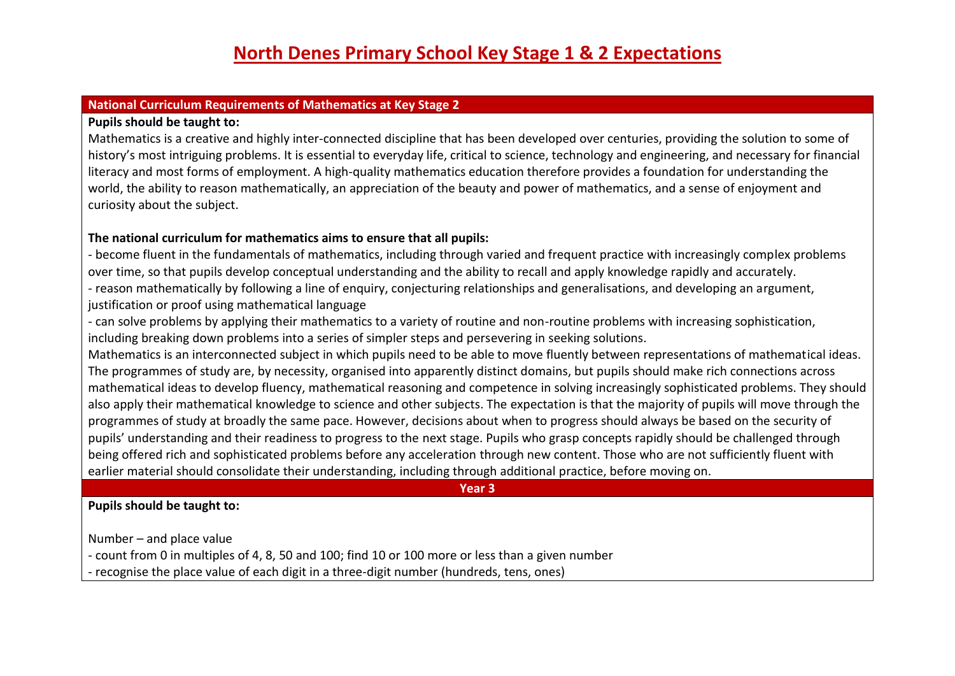#### **National Curriculum Requirements of Mathematics at Key Stage 2**

#### **Pupils should be taught to:**

Mathematics is a creative and highly inter-connected discipline that has been developed over centuries, providing the solution to some of history's most intriguing problems. It is essential to everyday life, critical to science, technology and engineering, and necessary for financial literacy and most forms of employment. A high-quality mathematics education therefore provides a foundation for understanding the world, the ability to reason mathematically, an appreciation of the beauty and power of mathematics, and a sense of enjoyment and curiosity about the subject.

#### **The national curriculum for mathematics aims to ensure that all pupils:**

- become fluent in the fundamentals of mathematics, including through varied and frequent practice with increasingly complex problems over time, so that pupils develop conceptual understanding and the ability to recall and apply knowledge rapidly and accurately. - reason mathematically by following a line of enquiry, conjecturing relationships and generalisations, and developing an argument, justification or proof using mathematical language

- can solve problems by applying their mathematics to a variety of routine and non-routine problems with increasing sophistication, including breaking down problems into a series of simpler steps and persevering in seeking solutions.

Mathematics is an interconnected subject in which pupils need to be able to move fluently between representations of mathematical ideas. The programmes of study are, by necessity, organised into apparently distinct domains, but pupils should make rich connections across mathematical ideas to develop fluency, mathematical reasoning and competence in solving increasingly sophisticated problems. They should also apply their mathematical knowledge to science and other subjects. The expectation is that the majority of pupils will move through the programmes of study at broadly the same pace. However, decisions about when to progress should always be based on the security of pupils' understanding and their readiness to progress to the next stage. Pupils who grasp concepts rapidly should be challenged through being offered rich and sophisticated problems before any acceleration through new content. Those who are not sufficiently fluent with earlier material should consolidate their understanding, including through additional practice, before moving on.

**Year 3**

**Pupils should be taught to:**

Number – and place value

- count from 0 in multiples of 4, 8, 50 and 100; find 10 or 100 more or less than a given number

- recognise the place value of each digit in a three-digit number (hundreds, tens, ones)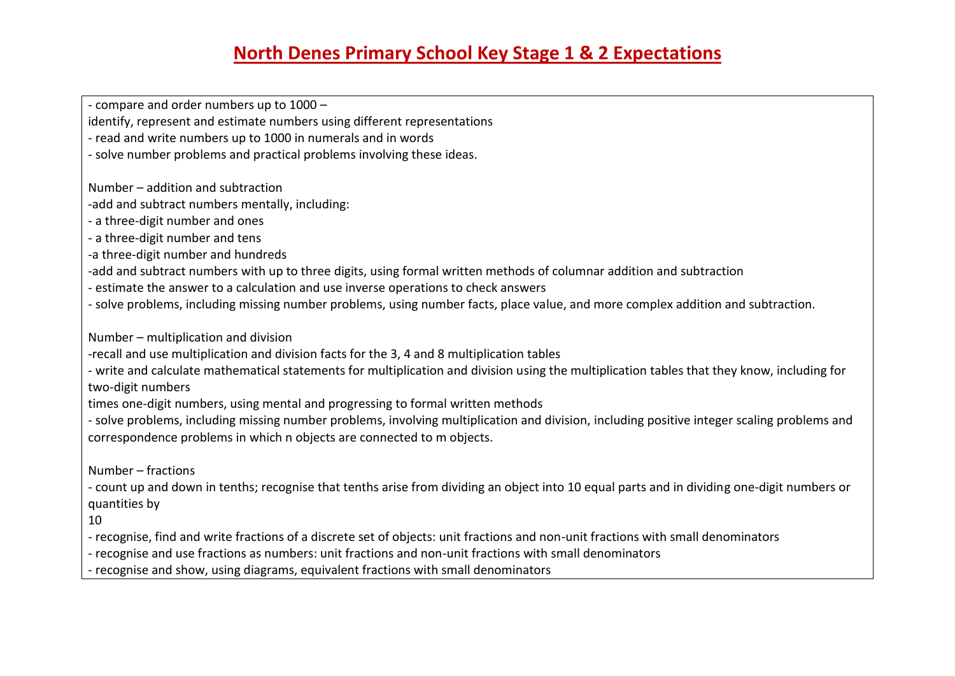- compare and order numbers up to 1000 –

identify, represent and estimate numbers using different representations

- read and write numbers up to 1000 in numerals and in words

- solve number problems and practical problems involving these ideas.

Number – addition and subtraction

-add and subtract numbers mentally, including:

- a three-digit number and ones

- a three-digit number and tens

-a three-digit number and hundreds

-add and subtract numbers with up to three digits, using formal written methods of columnar addition and subtraction

- estimate the answer to a calculation and use inverse operations to check answers

- solve problems, including missing number problems, using number facts, place value, and more complex addition and subtraction.

Number – multiplication and division

-recall and use multiplication and division facts for the 3, 4 and 8 multiplication tables

- write and calculate mathematical statements for multiplication and division using the multiplication tables that they know, including for two-digit numbers

times one-digit numbers, using mental and progressing to formal written methods

- solve problems, including missing number problems, involving multiplication and division, including positive integer scaling problems and correspondence problems in which n objects are connected to m objects.

Number – fractions

- count up and down in tenths; recognise that tenths arise from dividing an object into 10 equal parts and in dividing one-digit numbers or quantities by

10

- recognise, find and write fractions of a discrete set of objects: unit fractions and non-unit fractions with small denominators

- recognise and use fractions as numbers: unit fractions and non-unit fractions with small denominators

- recognise and show, using diagrams, equivalent fractions with small denominators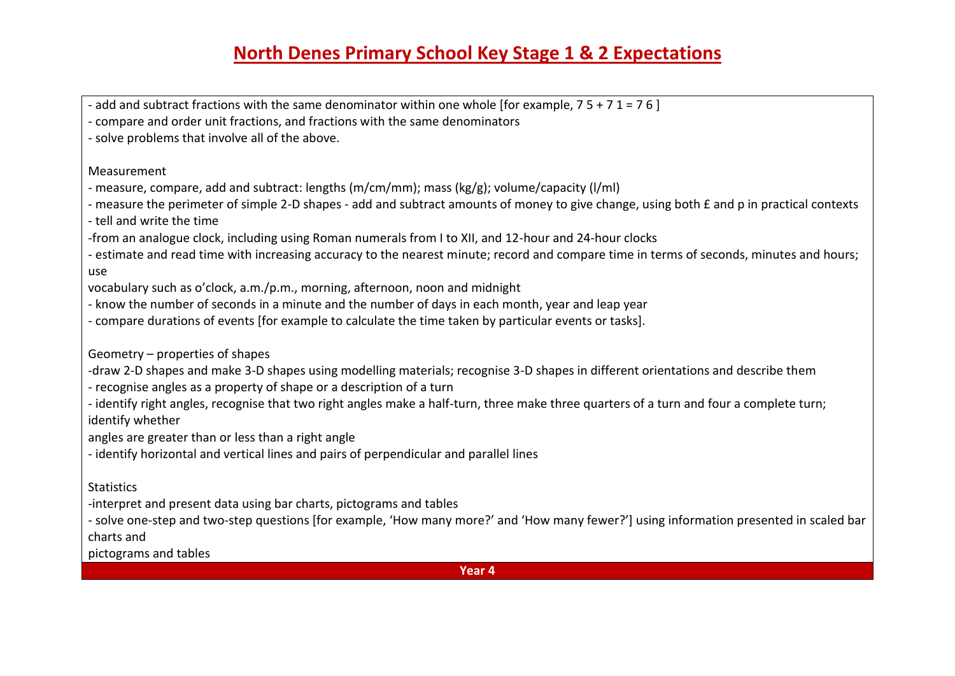- add and subtract fractions with the same denominator within one whole [for example,  $7\frac{1}{7}$  =  $7\frac{1}{7}$  =  $7\frac{1}{7}$ 

- compare and order unit fractions, and fractions with the same denominators

- solve problems that involve all of the above.

Measurement

- measure, compare, add and subtract: lengths (m/cm/mm); mass (kg/g); volume/capacity (l/ml)

- measure the perimeter of simple 2-D shapes - add and subtract amounts of money to give change, using both £ and p in practical contexts

- tell and write the time

-from an analogue clock, including using Roman numerals from I to XII, and 12-hour and 24-hour clocks

- estimate and read time with increasing accuracy to the nearest minute; record and compare time in terms of seconds, minutes and hours; use

vocabulary such as o'clock, a.m./p.m., morning, afternoon, noon and midnight

- know the number of seconds in a minute and the number of days in each month, year and leap year

- compare durations of events [for example to calculate the time taken by particular events or tasks].

Geometry – properties of shapes

-draw 2-D shapes and make 3-D shapes using modelling materials; recognise 3-D shapes in different orientations and describe them

- recognise angles as a property of shape or a description of a turn

- identify right angles, recognise that two right angles make a half-turn, three make three quarters of a turn and four a complete turn; identify whether

angles are greater than or less than a right angle

- identify horizontal and vertical lines and pairs of perpendicular and parallel lines

**Statistics** 

-interpret and present data using bar charts, pictograms and tables

- solve one-step and two-step questions [for example, 'How many more?' and 'How many fewer?'] using information presented in scaled bar charts and

pictograms and tables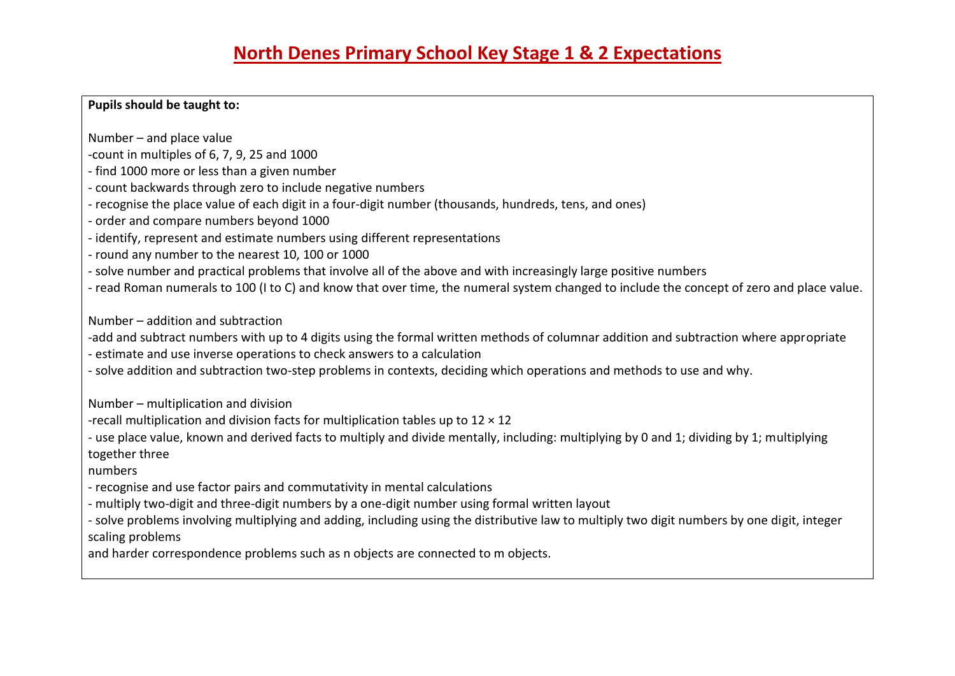#### **Pupils should be taught to:**

Number – and place value

- -count in multiples of 6, 7, 9, 25 and 1000
- find 1000 more or less than a given number
- count backwards through zero to include negative numbers
- recognise the place value of each digit in a four-digit number (thousands, hundreds, tens, and ones)
- order and compare numbers beyond 1000
- identify, represent and estimate numbers using different representations
- round any number to the nearest 10, 100 or 1000
- solve number and practical problems that involve all of the above and with increasingly large positive numbers
- read Roman numerals to 100 (I to C) and know that over time, the numeral system changed to include the concept of zero and place value.

Number – addition and subtraction

-add and subtract numbers with up to 4 digits using the formal written methods of columnar addition and subtraction where appropriate - estimate and use inverse operations to check answers to a calculation

- solve addition and subtraction two-step problems in contexts, deciding which operations and methods to use and why.

Number – multiplication and division

-recall multiplication and division facts for multiplication tables up to  $12 \times 12$ 

- use place value, known and derived facts to multiply and divide mentally, including: multiplying by 0 and 1; dividing by 1; multiplying together three

numbers

- recognise and use factor pairs and commutativity in mental calculations
- multiply two-digit and three-digit numbers by a one-digit number using formal written layout
- solve problems involving multiplying and adding, including using the distributive law to multiply two digit numbers by one digit, integer scaling problems

and harder correspondence problems such as n objects are connected to m objects.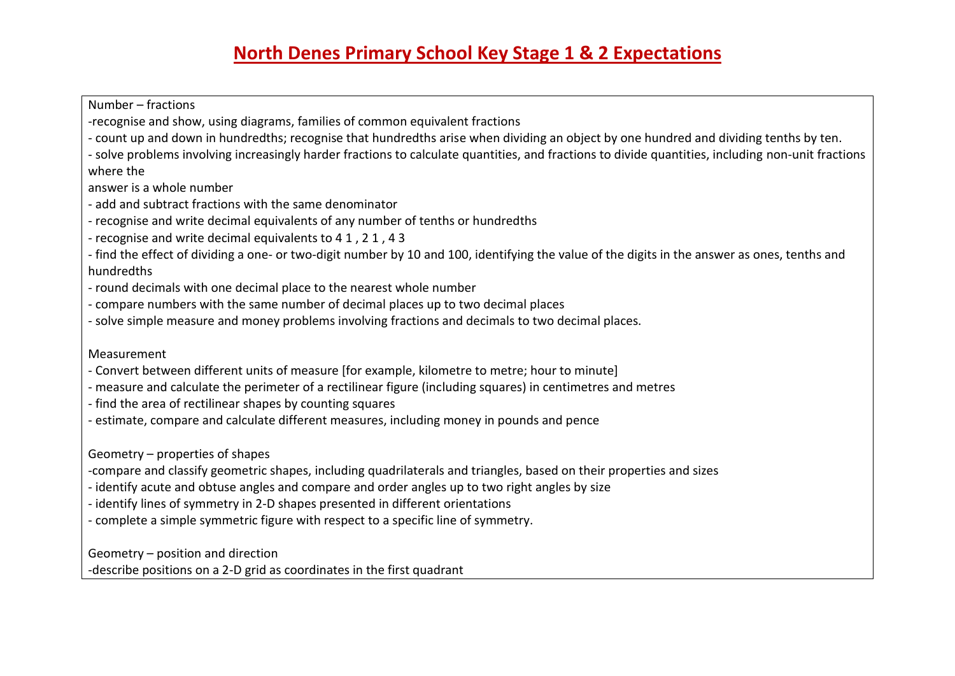Number – fractions -recognise and show, using diagrams, families of common equivalent fractions - count up and down in hundredths; recognise that hundredths arise when dividing an object by one hundred and dividing tenths by ten. - solve problems involving increasingly harder fractions to calculate quantities, and fractions to divide quantities, including non-unit fractions where the answer is a whole number - add and subtract fractions with the same denominator - recognise and write decimal equivalents of any number of tenths or hundredths - recognise and write decimal equivalents to 4 1 , 2 1 , 4 3 - find the effect of dividing a one- or two-digit number by 10 and 100, identifying the value of the digits in the answer as ones, tenths and hundredths - round decimals with one decimal place to the nearest whole number - compare numbers with the same number of decimal places up to two decimal places - solve simple measure and money problems involving fractions and decimals to two decimal places. Measurement - Convert between different units of measure [for example, kilometre to metre; hour to minute] - measure and calculate the perimeter of a rectilinear figure (including squares) in centimetres and metres - find the area of rectilinear shapes by counting squares - estimate, compare and calculate different measures, including money in pounds and pence Geometry – properties of shapes -compare and classify geometric shapes, including quadrilaterals and triangles, based on their properties and sizes - identify acute and obtuse angles and compare and order angles up to two right angles by size - identify lines of symmetry in 2-D shapes presented in different orientations - complete a simple symmetric figure with respect to a specific line of symmetry. Geometry – position and direction -describe positions on a 2-D grid as coordinates in the first quadrant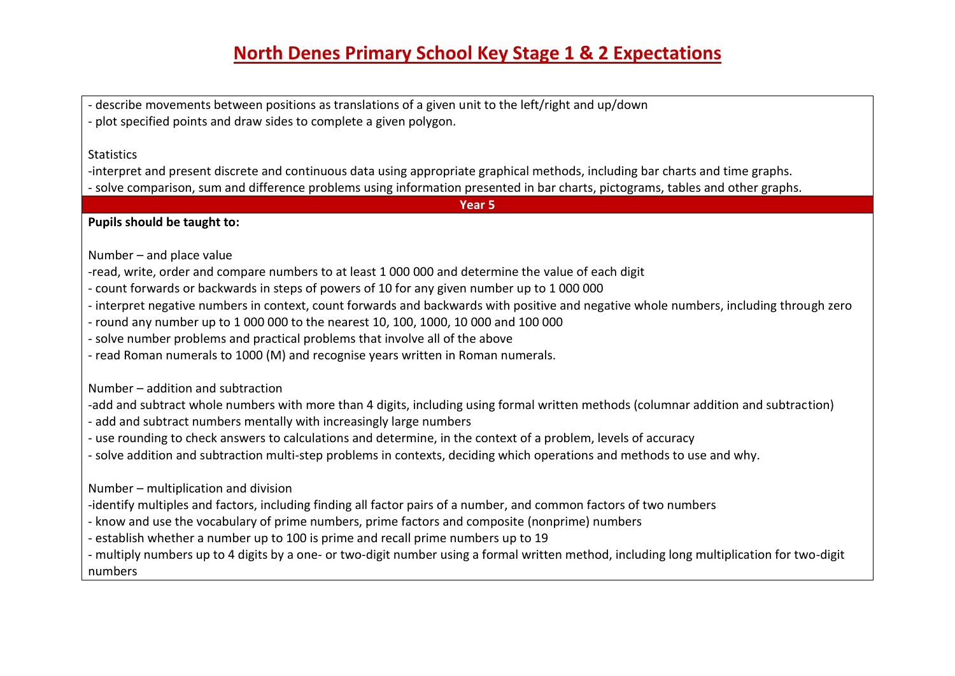- describe movements between positions as translations of a given unit to the left/right and up/down - plot specified points and draw sides to complete a given polygon.

#### **Statistics**

-interpret and present discrete and continuous data using appropriate graphical methods, including bar charts and time graphs. - solve comparison, sum and difference problems using information presented in bar charts, pictograms, tables and other graphs.

**Year 5**

**Pupils should be taught to:**

Number – and place value

-read, write, order and compare numbers to at least 1 000 000 and determine the value of each digit

- count forwards or backwards in steps of powers of 10 for any given number up to 1 000 000

- interpret negative numbers in context, count forwards and backwards with positive and negative whole numbers, including through zero

- round any number up to 1 000 000 to the nearest 10, 100, 1000, 10 000 and 100 000

- solve number problems and practical problems that involve all of the above

- read Roman numerals to 1000 (M) and recognise years written in Roman numerals.

Number – addition and subtraction

-add and subtract whole numbers with more than 4 digits, including using formal written methods (columnar addition and subtraction)

- add and subtract numbers mentally with increasingly large numbers

- use rounding to check answers to calculations and determine, in the context of a problem, levels of accuracy

- solve addition and subtraction multi-step problems in contexts, deciding which operations and methods to use and why.

Number – multiplication and division

-identify multiples and factors, including finding all factor pairs of a number, and common factors of two numbers

- know and use the vocabulary of prime numbers, prime factors and composite (nonprime) numbers

- establish whether a number up to 100 is prime and recall prime numbers up to 19

- multiply numbers up to 4 digits by a one- or two-digit number using a formal written method, including long multiplication for two-digit numbers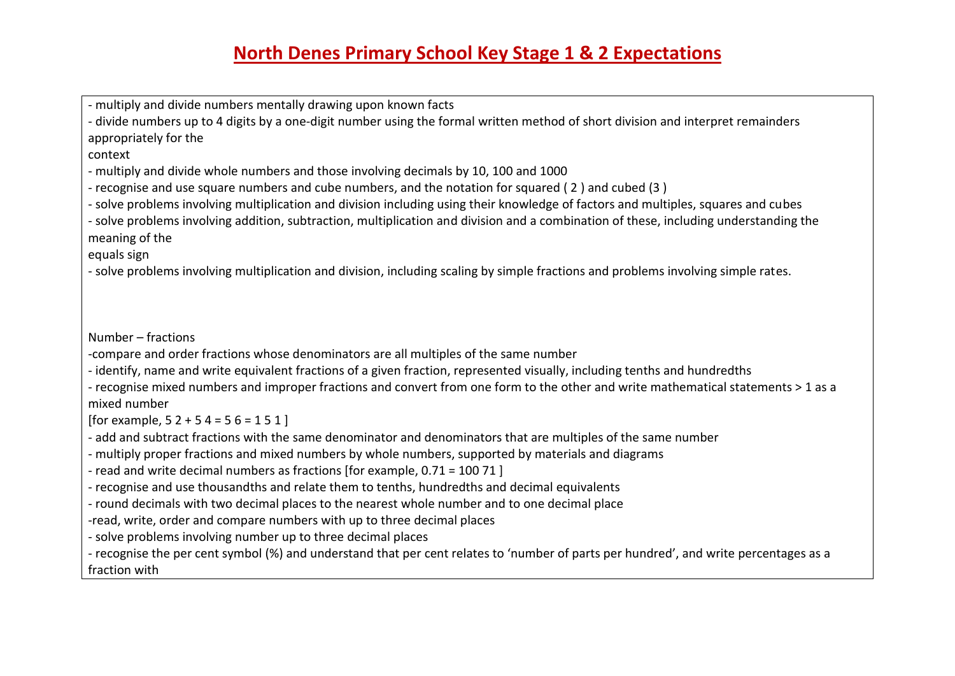- multiply and divide numbers mentally drawing upon known facts

- divide numbers up to 4 digits by a one-digit number using the formal written method of short division and interpret remainders appropriately for the

context

- multiply and divide whole numbers and those involving decimals by 10, 100 and 1000

- recognise and use square numbers and cube numbers, and the notation for squared ( 2 ) and cubed (3 )

- solve problems involving multiplication and division including using their knowledge of factors and multiples, squares and cubes

- solve problems involving addition, subtraction, multiplication and division and a combination of these, including understanding the meaning of the

equals sign

- solve problems involving multiplication and division, including scaling by simple fractions and problems involving simple rates.

Number – fractions

-compare and order fractions whose denominators are all multiples of the same number

- identify, name and write equivalent fractions of a given fraction, represented visually, including tenths and hundredths

- recognise mixed numbers and improper fractions and convert from one form to the other and write mathematical statements > 1 as a mixed number

[for example,  $52 + 54 = 56 = 151$ ]

- add and subtract fractions with the same denominator and denominators that are multiples of the same number

- multiply proper fractions and mixed numbers by whole numbers, supported by materials and diagrams

- read and write decimal numbers as fractions [for example, 0.71 = 100 71 ]

- recognise and use thousandths and relate them to tenths, hundredths and decimal equivalents

- round decimals with two decimal places to the nearest whole number and to one decimal place

-read, write, order and compare numbers with up to three decimal places

- solve problems involving number up to three decimal places

- recognise the per cent symbol (%) and understand that per cent relates to 'number of parts per hundred', and write percentages as a fraction with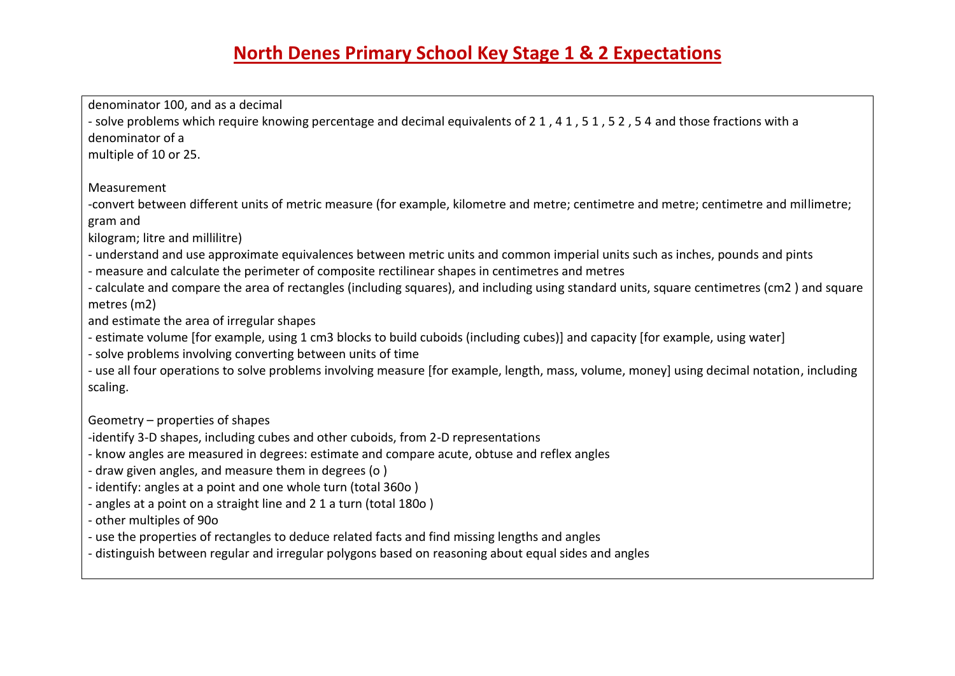denominator 100, and as a decimal - solve problems which require knowing percentage and decimal equivalents of 21, 41, 51, 52, 54 and those fractions with a denominator of a multiple of 10 or 25. Measurement -convert between different units of metric measure (for example, kilometre and metre; centimetre and metre; centimetre and millimetre; gram and kilogram; litre and millilitre) - understand and use approximate equivalences between metric units and common imperial units such as inches, pounds and pints - measure and calculate the perimeter of composite rectilinear shapes in centimetres and metres - calculate and compare the area of rectangles (including squares), and including using standard units, square centimetres (cm2 ) and square metres (m2) and estimate the area of irregular shapes - estimate volume [for example, using 1 cm3 blocks to build cuboids (including cubes)] and capacity [for example, using water] - solve problems involving converting between units of time - use all four operations to solve problems involving measure [for example, length, mass, volume, money] using decimal notation, including scaling. Geometry – properties of shapes -identify 3-D shapes, including cubes and other cuboids, from 2-D representations - know angles are measured in degrees: estimate and compare acute, obtuse and reflex angles - draw given angles, and measure them in degrees (o ) - identify: angles at a point and one whole turn (total 360o ) - angles at a point on a straight line and 2 1 a turn (total 180o ) - other multiples of 90o - use the properties of rectangles to deduce related facts and find missing lengths and angles

- distinguish between regular and irregular polygons based on reasoning about equal sides and angles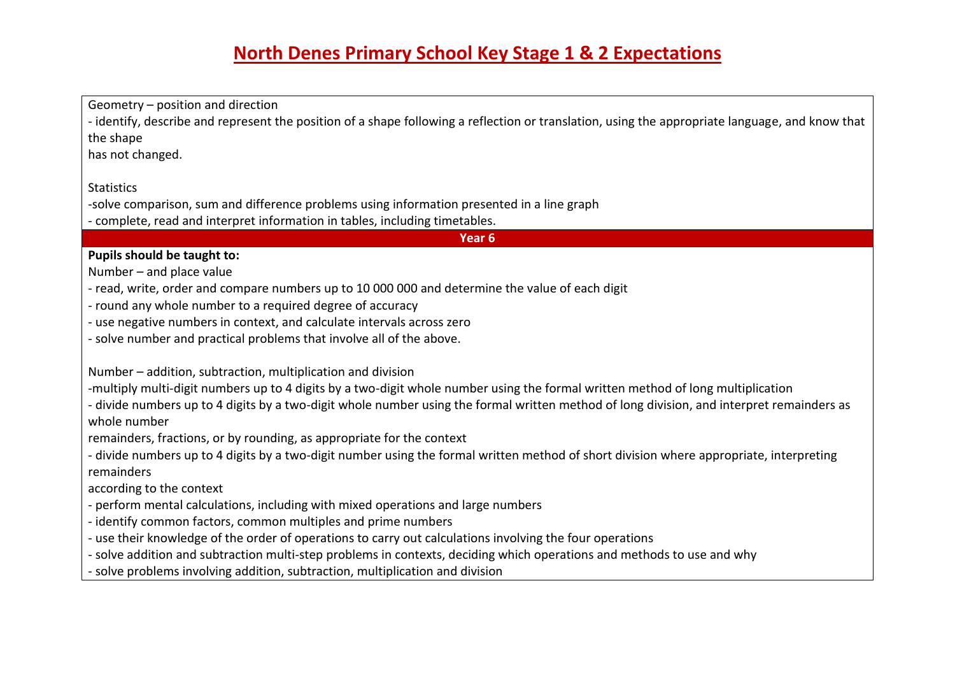Geometry – position and direction - identify, describe and represent the position of a shape following a reflection or translation, using the appropriate language, and know that the shape has not changed. **Statistics** -solve comparison, sum and difference problems using information presented in a line graph - complete, read and interpret information in tables, including timetables. **Year 6 Pupils should be taught to:** Number – and place value - read, write, order and compare numbers up to 10 000 000 and determine the value of each digit - round any whole number to a required degree of accuracy - use negative numbers in context, and calculate intervals across zero - solve number and practical problems that involve all of the above. Number – addition, subtraction, multiplication and division -multiply multi-digit numbers up to 4 digits by a two-digit whole number using the formal written method of long multiplication - divide numbers up to 4 digits by a two-digit whole number using the formal written method of long division, and interpret remainders as whole number remainders, fractions, or by rounding, as appropriate for the context - divide numbers up to 4 digits by a two-digit number using the formal written method of short division where appropriate, interpreting remainders according to the context - perform mental calculations, including with mixed operations and large numbers - identify common factors, common multiples and prime numbers - use their knowledge of the order of operations to carry out calculations involving the four operations - solve addition and subtraction multi-step problems in contexts, deciding which operations and methods to use and why - solve problems involving addition, subtraction, multiplication and division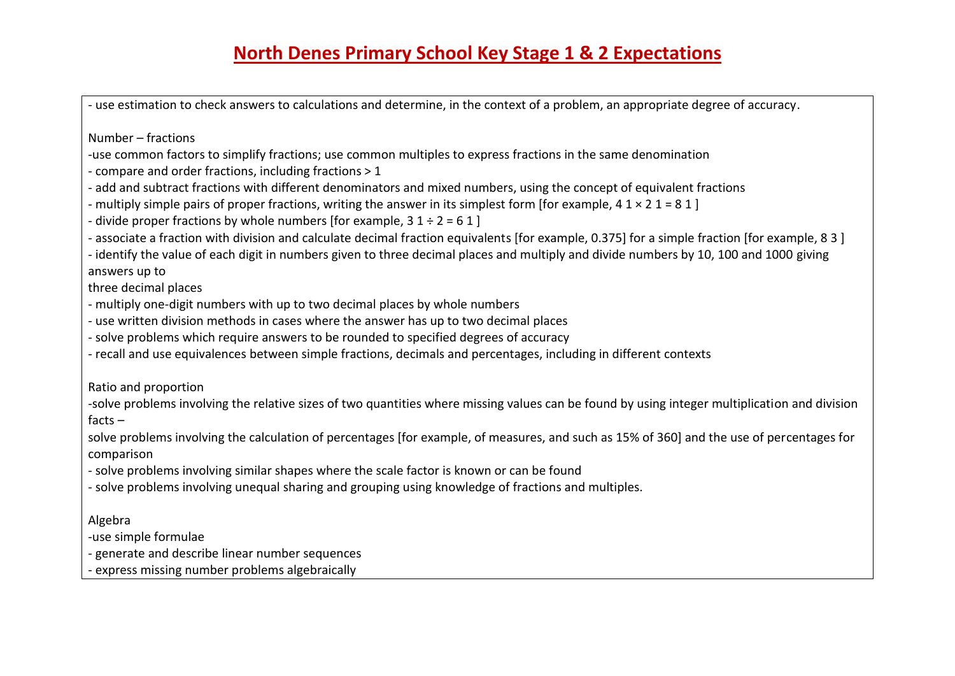- use estimation to check answers to calculations and determine, in the context of a problem, an appropriate degree of accuracy.

Number – fractions

- -use common factors to simplify fractions; use common multiples to express fractions in the same denomination
- compare and order fractions, including fractions > 1
- add and subtract fractions with different denominators and mixed numbers, using the concept of equivalent fractions
- multiply simple pairs of proper fractions, writing the answer in its simplest form [for example,  $41 \times 21 = 81$ ]
- divide proper fractions by whole numbers [for example,  $31 \div 2 = 61$ ]
- associate a fraction with division and calculate decimal fraction equivalents [for example, 0.375] for a simple fraction [for example, 8 3 ]

- identify the value of each digit in numbers given to three decimal places and multiply and divide numbers by 10, 100 and 1000 giving answers up to

three decimal places

- multiply one-digit numbers with up to two decimal places by whole numbers
- use written division methods in cases where the answer has up to two decimal places
- solve problems which require answers to be rounded to specified degrees of accuracy
- recall and use equivalences between simple fractions, decimals and percentages, including in different contexts

Ratio and proportion

-solve problems involving the relative sizes of two quantities where missing values can be found by using integer multiplication and division facts –

solve problems involving the calculation of percentages [for example, of measures, and such as 15% of 360] and the use of percentages for comparison

- solve problems involving similar shapes where the scale factor is known or can be found
- solve problems involving unequal sharing and grouping using knowledge of fractions and multiples.

Algebra

-use simple formulae

- generate and describe linear number sequences

- express missing number problems algebraically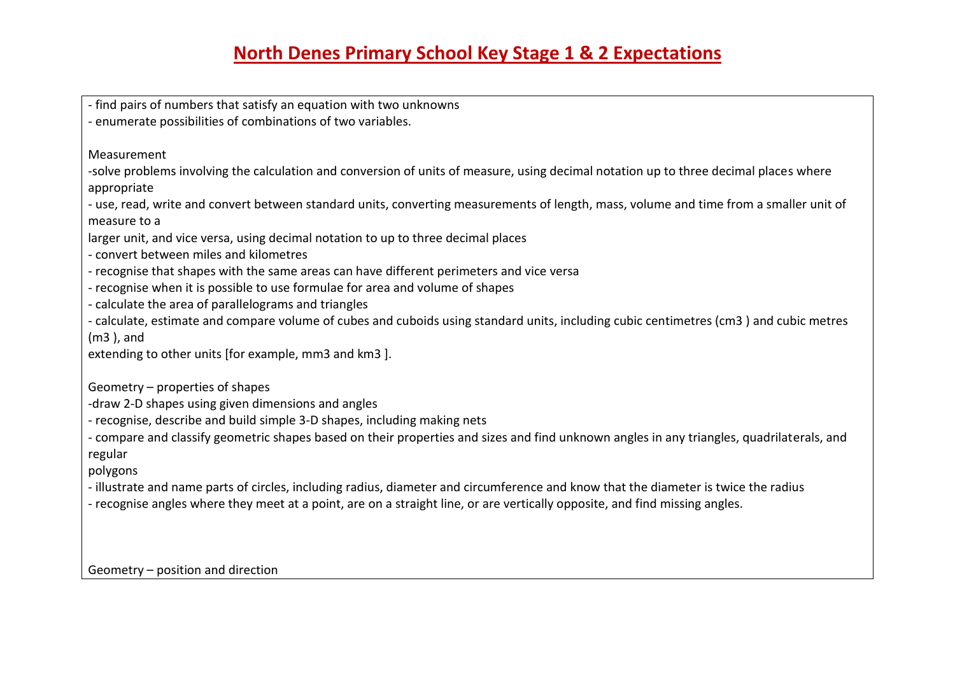- find pairs of numbers that satisfy an equation with two unknowns

- enumerate possibilities of combinations of two variables.

Measurement

-solve problems involving the calculation and conversion of units of measure, using decimal notation up to three decimal places where appropriate

- use, read, write and convert between standard units, converting measurements of length, mass, volume and time from a smaller unit of measure to a

larger unit, and vice versa, using decimal notation to up to three decimal places

- convert between miles and kilometres

- recognise that shapes with the same areas can have different perimeters and vice versa

- recognise when it is possible to use formulae for area and volume of shapes

- calculate the area of parallelograms and triangles

- calculate, estimate and compare volume of cubes and cuboids using standard units, including cubic centimetres (cm3 ) and cubic metres (m3 ), and

extending to other units [for example, mm3 and km3 ].

Geometry – properties of shapes

-draw 2-D shapes using given dimensions and angles

- recognise, describe and build simple 3-D shapes, including making nets

- compare and classify geometric shapes based on their properties and sizes and find unknown angles in any triangles, quadrilaterals, and regular

polygons

- illustrate and name parts of circles, including radius, diameter and circumference and know that the diameter is twice the radius

- recognise angles where they meet at a point, are on a straight line, or are vertically opposite, and find missing angles.

Geometry – position and direction